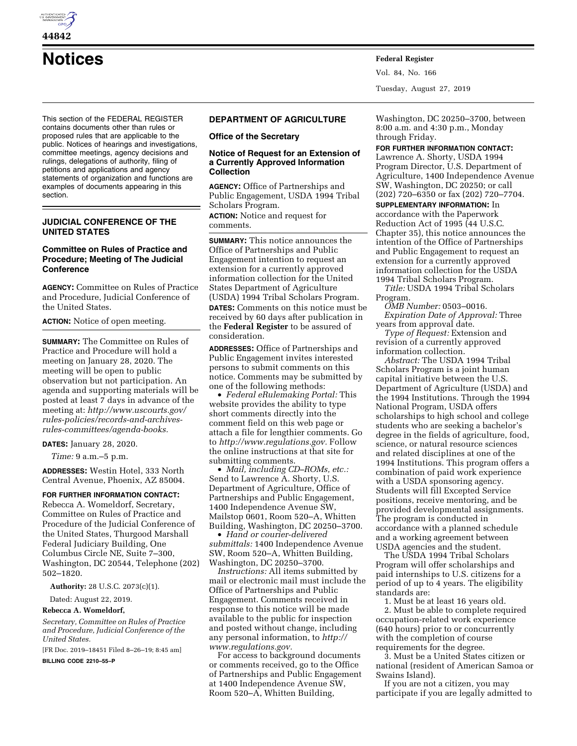

**Notices Federal Register**

This section of the FEDERAL REGISTER contains documents other than rules or proposed rules that are applicable to the public. Notices of hearings and investigations, committee meetings, agency decisions and rulings, delegations of authority, filing of petitions and applications and agency statements of organization and functions are examples of documents appearing in this section.

# **JUDICIAL CONFERENCE OF THE UNITED STATES**

## **Committee on Rules of Practice and Procedure; Meeting of The Judicial Conference**

**AGENCY:** Committee on Rules of Practice and Procedure, Judicial Conference of the United States.

**ACTION:** Notice of open meeting.

**SUMMARY:** The Committee on Rules of Practice and Procedure will hold a meeting on January 28, 2020. The meeting will be open to public observation but not participation. An agenda and supporting materials will be posted at least 7 days in advance of the meeting at: *[http://www.uscourts.gov/](http://www.uscourts.gov/rules-policies/records-and-archives-rules-committees/agenda-books)  [rules-policies/records-and-archives](http://www.uscourts.gov/rules-policies/records-and-archives-rules-committees/agenda-books)[rules-committees/agenda-books.](http://www.uscourts.gov/rules-policies/records-and-archives-rules-committees/agenda-books)* 

**DATES:** January 28, 2020.

*Time:* 9 a.m.–5 p.m.

**ADDRESSES:** Westin Hotel, 333 North Central Avenue, Phoenix, AZ 85004.

### **FOR FURTHER INFORMATION CONTACT:**

Rebecca A. Womeldorf, Secretary, Committee on Rules of Practice and Procedure of the Judicial Conference of the United States, Thurgood Marshall Federal Judiciary Building, One Columbus Circle NE, Suite 7–300, Washington, DC 20544, Telephone (202) 502–1820.

**Authority:** 28 U.S.C. 2073(c)(1).

Dated: August 22, 2019.

## **Rebecca A. Womeldorf,**

*Secretary, Committee on Rules of Practice and Procedure, Judicial Conference of the United States.* 

[FR Doc. 2019–18451 Filed 8–26–19; 8:45 am]

**BILLING CODE 2210–55–P** 

## **DEPARTMENT OF AGRICULTURE**

### **Office of the Secretary**

## **Notice of Request for an Extension of a Currently Approved Information Collection**

**AGENCY:** Office of Partnerships and Public Engagement, USDA 1994 Tribal Scholars Program.

**ACTION:** Notice and request for comments.

**SUMMARY:** This notice announces the Office of Partnerships and Public Engagement intention to request an extension for a currently approved information collection for the United States Department of Agriculture (USDA) 1994 Tribal Scholars Program.

**DATES:** Comments on this notice must be received by 60 days after publication in the **Federal Register** to be assured of consideration.

**ADDRESSES:** Office of Partnerships and Public Engagement invites interested persons to submit comments on this notice. Comments may be submitted by one of the following methods:

• *Federal eRulemaking Portal:* This website provides the ability to type short comments directly into the comment field on this web page or attach a file for lengthier comments. Go to *[http://www.regulations.gov.](http://www.regulations.gov)* Follow the online instructions at that site for submitting comments.

• *Mail, including CD–ROMs, etc.:*  Send to Lawrence A. Shorty, U.S. Department of Agriculture, Office of Partnerships and Public Engagement, 1400 Independence Avenue SW, Mailstop 0601, Room 520–A, Whitten Building, Washington, DC 20250–3700.

• *Hand or courier-delivered submittals:* 1400 Independence Avenue SW, Room 520–A, Whitten Building, Washington, DC 20250–3700.

*Instructions:* All items submitted by mail or electronic mail must include the Office of Partnerships and Public Engagement. Comments received in response to this notice will be made available to the public for inspection and posted without change, including any personal information, to *[http://](http://www.regulations.gov) [www.regulations.gov.](http://www.regulations.gov)* 

For access to background documents or comments received, go to the Office of Partnerships and Public Engagement at 1400 Independence Avenue SW, Room 520–A, Whitten Building,

Washington, DC 20250–3700, between 8:00 a.m. and 4:30 p.m., Monday through Friday.

# **FOR FURTHER INFORMATION CONTACT:**

Vol. 84, No. 166

Tuesday, August 27, 2019

Lawrence A. Shorty, USDA 1994 Program Director, U.S. Department of Agriculture, 1400 Independence Avenue SW, Washington, DC 20250; or call (202) 720–6350 or fax (202) 720–7704.

**SUPPLEMENTARY INFORMATION:** In accordance with the Paperwork Reduction Act of 1995 (44 U.S.C. Chapter 35), this notice announces the intention of the Office of Partnerships and Public Engagement to request an extension for a currently approved information collection for the USDA 1994 Tribal Scholars Program.

*Title:* USDA 1994 Tribal Scholars Program.

*OMB Number:* 0503–0016. *Expiration Date of Approval:* Three years from approval date.

*Type of Request:* Extension and revision of a currently approved information collection.

*Abstract:* The USDA 1994 Tribal Scholars Program is a joint human capital initiative between the U.S. Department of Agriculture (USDA) and the 1994 Institutions. Through the 1994 National Program, USDA offers scholarships to high school and college students who are seeking a bachelor's degree in the fields of agriculture, food, science, or natural resource sciences and related disciplines at one of the 1994 Institutions. This program offers a combination of paid work experience with a USDA sponsoring agency. Students will fill Excepted Service positions, receive mentoring, and be provided developmental assignments. The program is conducted in accordance with a planned schedule and a working agreement between USDA agencies and the student.

The USDA 1994 Tribal Scholars Program will offer scholarships and paid internships to U.S. citizens for a period of up to 4 years. The eligibility standards are:

1. Must be at least 16 years old. 2. Must be able to complete required occupation-related work experience (640 hours) prior to or concurrently with the completion of course requirements for the degree.

3. Must be a United States citizen or national (resident of American Samoa or Swains Island).

If you are not a citizen, you may participate if you are legally admitted to